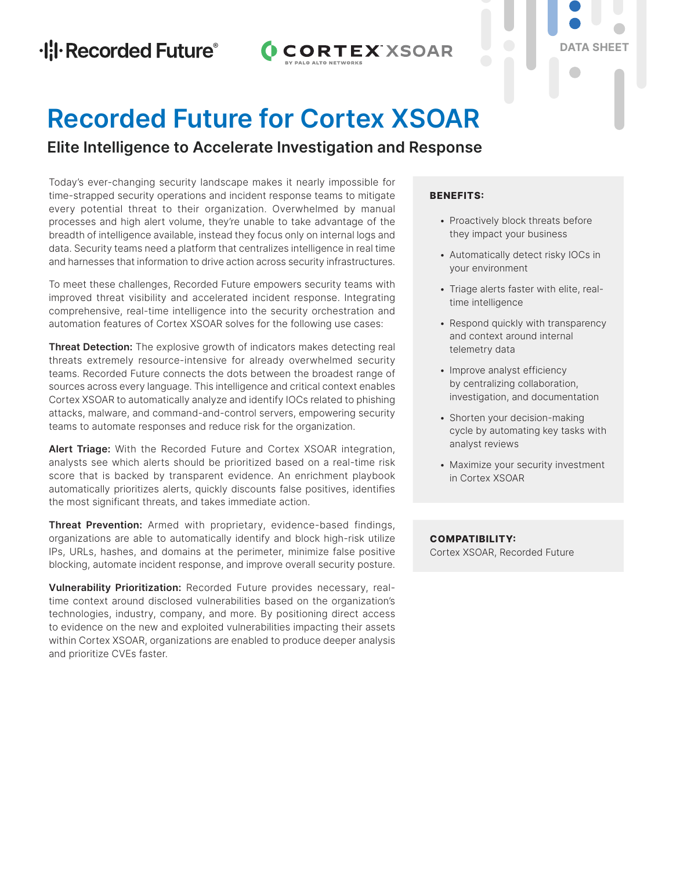# **CORTEX XSOAR**

# **DATA SHEET**

# **Recorded Future for Cortex XSOAR**

## **Elite Intelligence to Accelerate Investigation and Response**

Today's ever-changing security landscape makes it nearly impossible for time-strapped security operations and incident response teams to mitigate every potential threat to their organization. Overwhelmed by manual processes and high alert volume, they're unable to take advantage of the breadth of intelligence available, instead they focus only on internal logs and data. Security teams need a platform that centralizes intelligence in real time and harnesses that information to drive action across security infrastructures.

To meet these challenges, Recorded Future empowers security teams with improved threat visibility and accelerated incident response. Integrating comprehensive, real-time intelligence into the security orchestration and automation features of Cortex XSOAR solves for the following use cases:

**Threat Detection:** The explosive growth of indicators makes detecting real threats extremely resource-intensive for already overwhelmed security teams. Recorded Future connects the dots between the broadest range of sources across every language. This intelligence and critical context enables Cortex XSOAR to automatically analyze and identify IOCs related to phishing attacks, malware, and command-and-control servers, empowering security teams to automate responses and reduce risk for the organization.

**Alert Triage:** With the Recorded Future and Cortex XSOAR integration, analysts see which alerts should be prioritized based on a real-time risk score that is backed by transparent evidence. An enrichment playbook automatically prioritizes alerts, quickly discounts false positives, identifies the most significant threats, and takes immediate action.

**Threat Prevention:** Armed with proprietary, evidence-based findings, organizations are able to automatically identify and block high-risk utilize IPs, URLs, hashes, and domains at the perimeter, minimize false positive blocking, automate incident response, and improve overall security posture.

**Vulnerability Prioritization:** Recorded Future provides necessary, realtime context around disclosed vulnerabilities based on the organization's technologies, industry, company, and more. By positioning direct access to evidence on the new and exploited vulnerabilities impacting their assets within Cortex XSOAR, organizations are enabled to produce deeper analysis and prioritize CVEs faster.

### **BENEFITS:**

- Proactively block threats before they impact your business
- Automatically detect risky IOCs in your environment
- Triage alerts faster with elite, realtime intelligence
- Respond quickly with transparency and context around internal telemetry data
- Improve analyst efficiency by centralizing collaboration, investigation, and documentation
- Shorten your decision-making cycle by automating key tasks with analyst reviews
- Maximize your security investment in Cortex XSOAR

**COMPATIBILITY:** Cortex XSOAR, Recorded Future